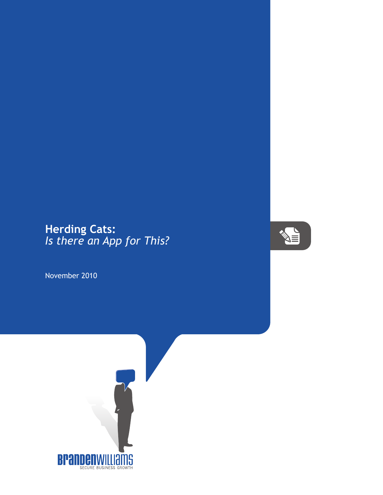## **Herding Cats:** *Is there an App for This?*

November 2010



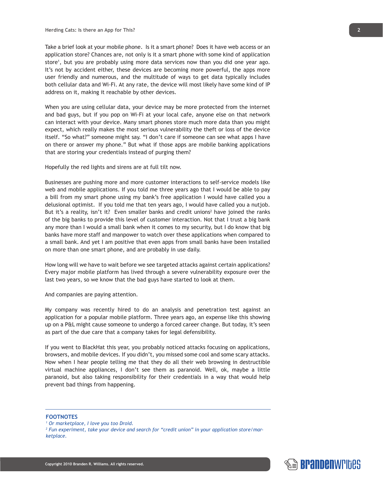Take a brief look at your mobile phone. Is it a smart phone? Does it have web access or an application store? Chances are, not only is it a smart phone with some kind of application store<sup>1</sup>, but you are probably using more data services now than you did one year ago. It's not by accident either, these devices are becoming more powerful, the apps more user friendly and numerous, and the multitude of ways to get data typically includes both cellular data and Wi-Fi. At any rate, the device will most likely have some kind of IP address on it, making it reachable by other devices.

When you are using cellular data, your device may be more protected from the internet and bad guys, but if you pop on Wi-Fi at your local cafe, anyone else on that network can interact with your device. Many smart phones store much more data than you might expect, which really makes the most serious vulnerability the theft or loss of the device itself. "So what?" someone might say. "I don't care if someone can see what apps I have on there or answer my phone." But what if those apps are mobile banking applications that are storing your credentials instead of purging them?

Hopefully the red lights and sirens are at full tilt now.

Businesses are pushing more and more customer interactions to self-service models like web and mobile applications. If you told me three years ago that I would be able to pay a bill from my smart phone using my bank's free application I would have called you a delusional optimist. If you told me that ten years ago, I would have called you a nutjob. But it's a reality, isn't it? Even smaller banks and credit unions<sup>2</sup> have joined the ranks of the big banks to provide this level of customer interaction. Not that I trust a big bank any more than I would a small bank when it comes to my security, but I do know that big banks have more staff and manpower to watch over these applications when compared to a small bank. And yet I am positive that even apps from small banks have been installed on more than one smart phone, and are probably in use daily.

How long will we have to wait before we see targeted attacks against certain applications? Every major mobile platform has lived through a severe vulnerability exposure over the last two years, so we know that the bad guys have started to look at them.

And companies are paying attention.

My company was recently hired to do an analysis and penetration test against an application for a popular mobile platform. Three years ago, an expense like this showing up on a P&L might cause someone to undergo a forced career change. But today, it's seen as part of the due care that a company takes for legal defensibility.

If you went to BlackHat this year, you probably noticed attacks focusing on applications, browsers, and mobile devices. If you didn't, you missed some cool and some scary attacks. Now when I hear people telling me that they do all their web browsing in destructible virtual machine appliances, I don't see them as paranoid. Well, ok, maybe a little paranoid, but also taking responsibility for their credentials in a way that would help prevent bad things from happening.

## **FOOTNOTES**



*<sup>1</sup> Or marketplace, I love you too Droid.*

*<sup>2</sup> Fun experiment, take your device and search for "credit union" in your application store/marketplace.*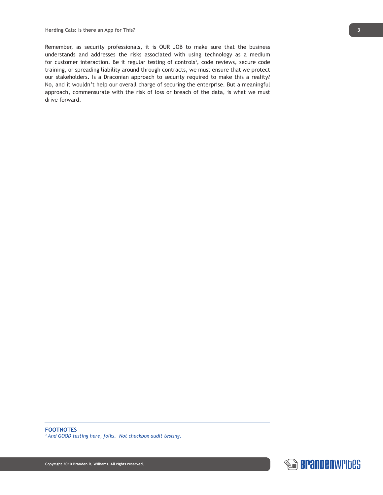Remember, as security professionals, it is OUR JOB to make sure that the business understands and addresses the risks associated with using technology as a medium for customer interaction. Be it regular testing of controls<sup>3</sup>, code reviews, secure code training, or spreading liability around through contracts, we must ensure that we protect our stakeholders. Is a Draconian approach to security required to make this a reality? No, and it wouldn't help our overall charge of securing the enterprise. But a meaningful approach, commensurate with the risk of loss or breach of the data, is what we must drive forward.

*3 And GOOD testing here, folks. Not checkbox audit testing.*